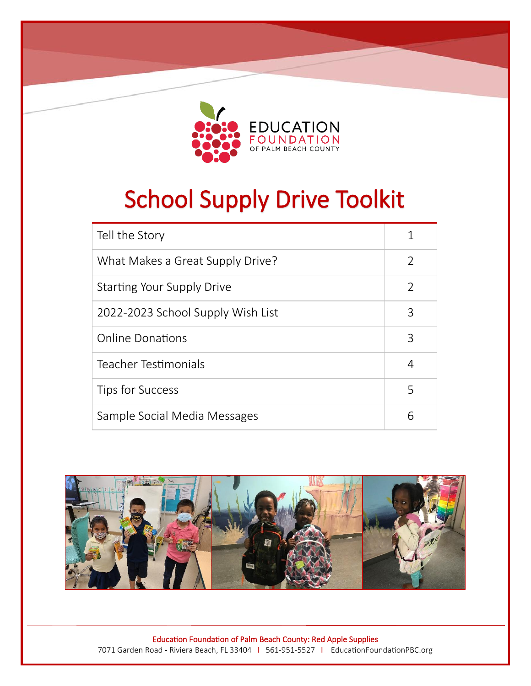

School Supply Drive

Toolkit

# School Supply Drive Toolkit

| Tell the Story                    |               |
|-----------------------------------|---------------|
| What Makes a Great Supply Drive?  | $\mathcal{L}$ |
| <b>Starting Your Supply Drive</b> | $\mathcal{P}$ |
| 2022-2023 School Supply Wish List | 3             |
| <b>Online Donations</b>           | 3             |
| Teacher Testimonials              | 4             |
| Tips for Success                  | 5             |
| Sample Social Media Messages      | 6             |



Ī Education Foundation of Palm Beach County: Red Apple Supplies 7071 Garden Road - Riviera Beach, FL 33404 I 561-951-5527 I EducationFoundationPBC.org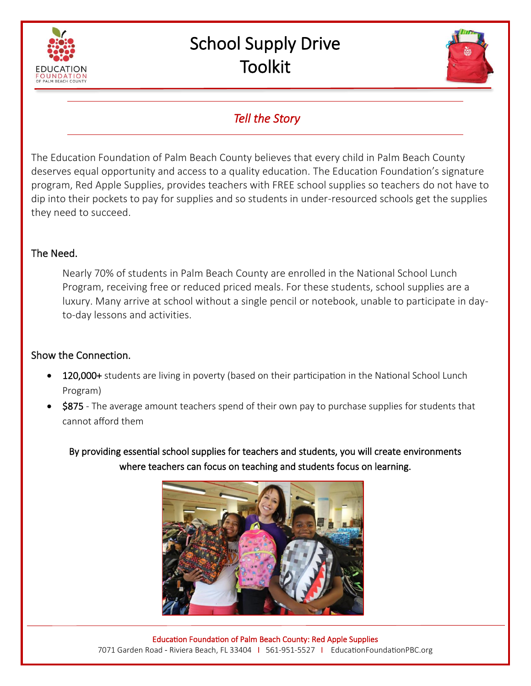



## *Tell the Story*

The Education Foundation of Palm Beach County believes that every child in Palm Beach County deserves equal opportunity and access to a quality education. The Education Foundation's signature program, Red Apple Supplies, provides teachers with FREE school supplies so teachers do not have to dip into their pockets to pay for supplies and so students in under-resourced schools get the supplies they need to succeed.

#### The Need.

Nearly 70% of students in Palm Beach County are enrolled in the National School Lunch Program, receiving free or reduced priced meals. For these students, school supplies are a luxury. Many arrive at school without a single pencil or notebook, unable to participate in dayto-day lessons and activities.

## Show the Connection.

- 120,000+ students are living in poverty (based on their participation in the National School Lunch Program)
- **\$875** The average amount teachers spend of their own pay to purchase supplies for students that cannot afford them

By providing essential school supplies for teachers and students, you will create environments where teachers can focus on teaching and students focus on learning.

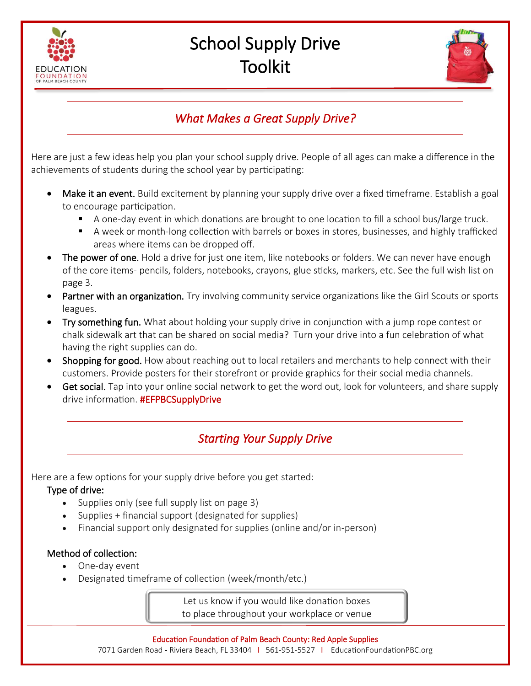



# *What Makes a Great Supply Drive?*

Here are just a few ideas help you plan your school supply drive. People of all ages can make a difference in the achievements of students during the school year by participating:

- Make it an event. Build excitement by planning your supply drive over a fixed timeframe. Establish a goal to encourage participation.
	- A one-day event in which donations are brought to one location to fill a school bus/large truck.
	- A week or month-long collection with barrels or boxes in stores, businesses, and highly trafficked areas where items can be dropped off.
- The power of one. Hold a drive for just one item, like notebooks or folders. We can never have enough of the core items- pencils, folders, notebooks, crayons, glue sticks, markers, etc. See the full wish list on page 3.
- Partner with an organization. Try involving community service organizations like the Girl Scouts or sports leagues.
- Try something fun. What about holding your supply drive in conjunction with a jump rope contest or chalk sidewalk art that can be shared on social media? Turn your drive into a fun celebration of what having the right supplies can do.
- Shopping for good. How about reaching out to local retailers and merchants to help connect with their customers. Provide posters for their storefront or provide graphics for their social media channels.
- Get social. Tap into your online social network to get the word out, look for volunteers, and share supply drive information. **#EFPBCSupplyDrive**

# *Starting Your Supply Drive*

Here are a few options for your supply drive before you get started:

## Type of drive:

- Supplies only (see full supply list on page 3)
- Supplies + financial support (designated for supplies)
- Financial support only designated for supplies (online and/or in-person)

## Method of collection:

- One-day event
- Designated timeframe of collection (week/month/etc.)

Let us know if you would like donation boxes to place throughout your workplace or venue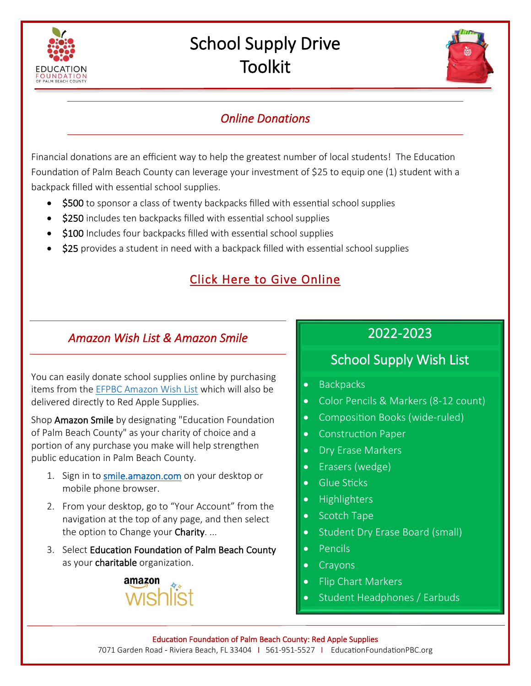



## *Online Donations*

Financial donations are an efficient way to help the greatest number of local students! The Education Foundation of Palm Beach County can leverage your investment of \$25 to equip one (1) student with a backpack filled with essential school supplies.

- \$500 to sponsor a class of twenty backpacks filled with essential school supplies
- \$250 includes ten backpacks filled with essential school supplies
- \$100 Includes four backpacks filled with essential school supplies
- \$25 provides a student in need with a backpack filled with essential school supplies

## [Click Here to Give Online](https://app.mobilecause.com/form/a_-NcA?parent_id=711974&vid=qzfmj)

## *Amazon Wish List & Amazon Smile*

You can easily donate school supplies online by purchasing items from the EFPBC [Amazon Wish List](https://a.co/cvetru0) which will also be delivered directly to Red Apple Supplies.

Shop Amazon Smile by designating "Education Foundation of Palm Beach County" as your charity of choice and a portion of any purchase you make will help strengthen public education in Palm Beach County.

- 1. Sign in to [smile.amazon.com](https://a.co/asu1qjg) on your desktop or mobile phone browser.
- 2. From your desktop, go to "Your Account" from the navigation at the top of any page, and then select the option to Change your **Charity**...
- 3. Select Education Foundation of Palm Beach County as your charitable organization.



# 2022-2023

# School Supply Wish List

- Backpacks
- Color Pencils & Markers (8-12 count)
- Composition Books (wide-ruled)
- Construction Paper
- Dry Erase Markers
- Erasers (wedge)
- Glue Sticks
- Highlighters
- Scotch Tape
- Student Dry Erase Board (small)
- Pencils
- Crayons
- Flip Chart Markers
- Student Headphones / Earbuds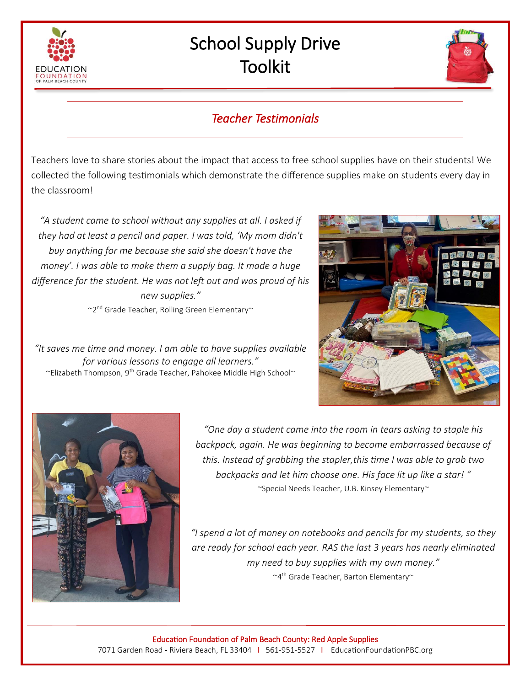



## *Teacher Testimonials*

Teachers love to share stories about the impact that access to free school supplies have on their students! We collected the following testimonials which demonstrate the difference supplies make on students every day in the classroom!

*"A student came to school without any supplies at all. I asked if they had at least a pencil and paper. I was told, 'My mom didn't buy anything for me because she said she doesn't have the money'. I was able to make them a supply bag. It made a huge difference for the student. He was not left out and was proud of his new supplies."*

 $\sim$ 2<sup>nd</sup> Grade Teacher, Rolling Green Elementary

*"It saves me time and money. I am able to have supplies available for various lessons to engage all learners."* ~Elizabeth Thompson, 9th Grade Teacher, Pahokee Middle High School~





*"One day a student came into the room in tears asking to staple his backpack, again. He was beginning to become embarrassed because of this. Instead of grabbing the stapler,this time I was able to grab two backpacks and let him choose one. His face lit up like a star! "* ~Special Needs Teacher, U.B. Kinsey Elementary~

*"I spend a lot of money on notebooks and pencils for my students, so they are ready for school each year. RAS the last 3 years has nearly eliminated my need to buy supplies with my own money."* ~4 th Grade Teacher, Barton Elementary~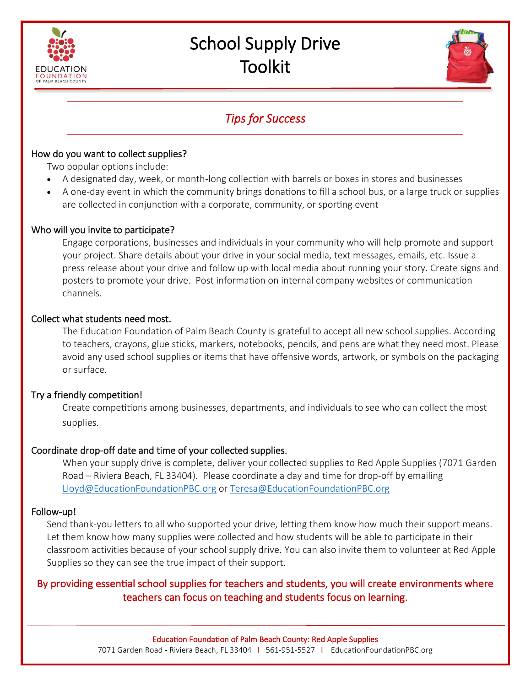



## *Tips for Success*

#### How do you want to collect supplies?

Two popular options include:

- A designated day, week, or month-long collection with barrels or boxes in stores and businesses
- A one-day event in which the community brings donations to fill a school bus, or a large truck or supplies are collected in conjunction with a corporate, community, or sporting event

#### Who will you invite to participate?

Engage corporations, businesses and individuals in your community who will help promote and support your project. Share details about your drive in your social media, text messages, emails, etc. Issue a press release about your drive and follow up with local media about running your story. Create signs and posters to promote your drive. Post information on internal company websites or communication channels.

#### Collect what students need most.

The Education Foundation of Palm Beach County is grateful to accept all new school supplies. According to teachers, crayons, glue sticks, markers, notebooks, pencils, and pens are what they need most. Please avoid any used school supplies or items that have offensive words, artwork, or symbols on the packaging or surface.

#### Try a friendly competition!

Create competitions among businesses, departments, and individuals to see who can collect the most supplies.

#### Coordinate drop-off date and time of your collected supplies.

When your supply drive is complete, deliver your collected supplies to Red Apple Supplies (7071 Garden Road – Riviera Beach, FL 33404). Please coordinate a day and time for drop-off by emailing [Lloyd@EducationFoundationPBC.org](mailto:Lloyd@EducationFoundationPBC.org) or [Teresa@EducationFoundationPBC.org](mailto:Teresa@EducationFoundationPBC.org)

#### Follow-up!

Send thank-you letters to all who supported your drive, letting them know how much their support means. Let them know how many supplies were collected and how students will be able to participate in their classroom activities because of your school supply drive. You can also invite them to volunteer at Red Apple Supplies so they can see the true impact of their support.

## By providing essential school supplies for teachers and students, you will create environments where teachers can focus on teaching and students focus on learning.

Ī Education Foundation of Palm Beach County: Red Apple Supplies 7071 Garden Road - Riviera Beach, FL 33404 I 561-951-5527 I EducationFoundationPBC.org